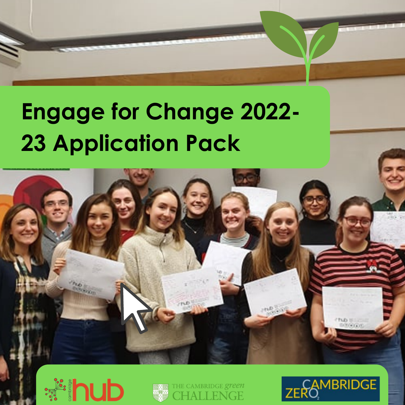# **Engage for Change 2022- 23 Application Pack**







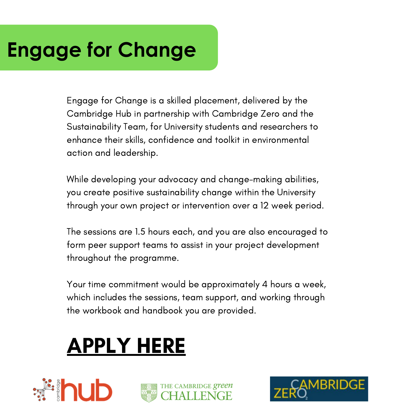## **Engage for Change**

Engage for Change is a skilled placement, delivered by the Cambridge Hub in partnership with Cambridge Zero and the Sustainability Team, for University students and researchers to enhance their skills, confidence and toolkit in environmental action and leadership.

While developing your advocacy and change-making abilities, you create positive sustainability change within the University through your own project or intervention over a 12 week period.

The sessions are 1.5 hours each, and you are also encouraged to form peer support teams to assist in your project development throughout the programme.

Your time commitment would be approximately 4 hours a week, which includes the sessions, team support, and working through the workbook and handbook you are provided.

# [APPLY](https://forms.gle/tWftVK9PckA3GD45A) HERE





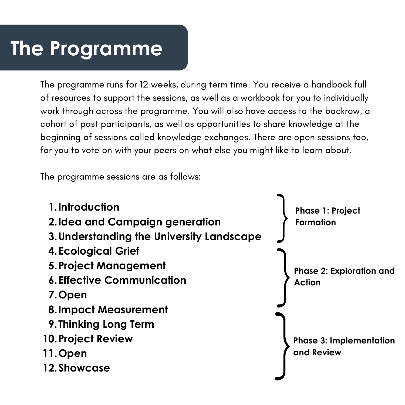### **The Programme**

The programme runs for 12 weeks, during term time. You receive a handbook full of resources to support the sessions, as well as a workbook for you to individually work through across the programme. You will also have access to the backrow, a cohort of past participants, as well as opportunities to share knowledge at the beginning of sessions called knowledge exchanges. There are open sessions too, for you to vote on with your peers on what else you might like to learn about.

The programme sessions are as follows:

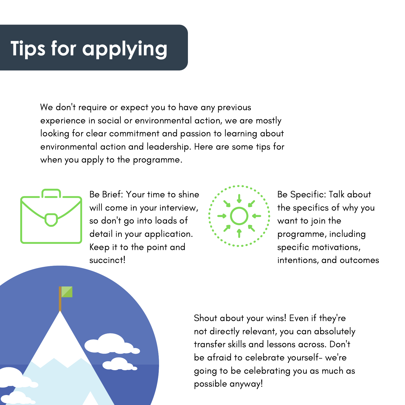### **Tips for applying**

We don 't require or expect you to have any previous experience in social or environmental action, we are mostly looking for clear commitment and passion to learning about environmental action and leadership. Here are some tips for when you apply to the programme.



Be Brief: Your time to shine will come in your interview, so don 't go into loads of detail in your application. Keep it to the point and succinct!



Be Specific: Talk about the specifics of why you want to join the programme, including specific motivations, intentions, and outcomes

Shout about your wins! Even if they ' re not directly relevant, you can absolutely transfer skills and lessons across. Don 't be afraid to celebrate yourself- we ' re going to be celebrating you as much as possible anyway!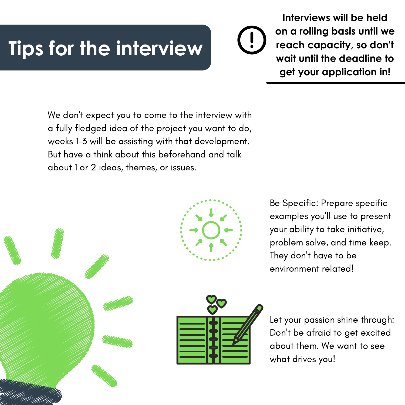### **Tips for the interview**

**Interviews will be held on a rolling basis until we reach capacity, so don't wait until the deadline to get your application in!**

We don 't expect you to come to the interview with a fully fledged idea of the project you want to do, weeks 1-3 will be assisting with that development. But have a think about this beforehand and talk about 1 or 2 ideas, themes, or issues.



Be Specific: Prepare specific examples you 'll use to present your ability to take initiative, problem solve, and time keep. They don 't have to be environment related!



Let your passion shine through: Don 't be afraid to get excited about them. We want to see what drives you!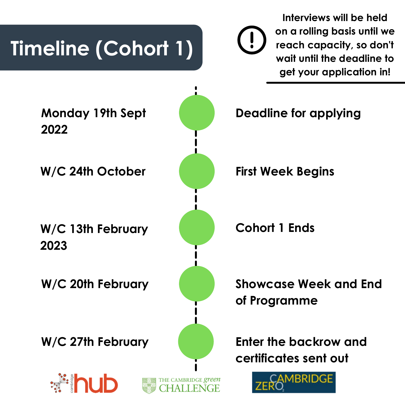

**Interviews will be held on a rolling basis until we reach capacity, so don't wait until the deadline to get your application in!**

**Showcase Week and End of Programme**

**Enter the backrow and certificates sent out**

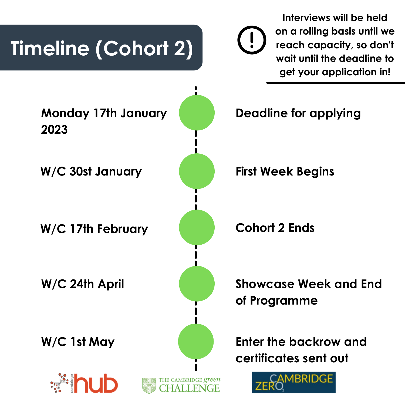